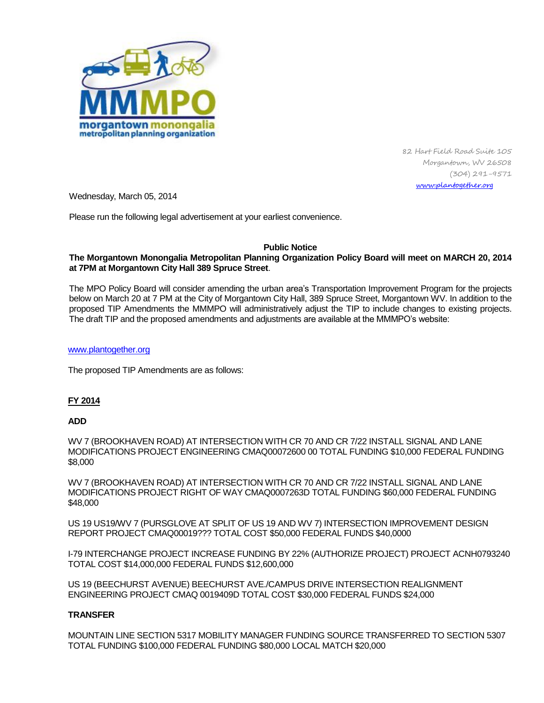

82 Hart Field Road Suite 105 Morgantown, WV 26508 (304) 291-9571 [www.plantogether.org](http://www.plantogether.org/)

Wednesday, March 05, 2014

Please run the following legal advertisement at your earliest convenience.

### **Public Notice**

### **The Morgantown Monongalia Metropolitan Planning Organization Policy Board will meet on MARCH 20, 2014 at 7PM at Morgantown City Hall 389 Spruce Street**.

The MPO Policy Board will consider amending the urban area's Transportation Improvement Program for the projects below on March 20 at 7 PM at the City of Morgantown City Hall, 389 Spruce Street, Morgantown WV. In addition to the proposed TIP Amendments the MMMPO will administratively adjust the TIP to include changes to existing projects. The draft TIP and the proposed amendments and adjustments are available at the MMMPO's website:

#### [www.plantogether.org](http://www.plantogether.org/)

The proposed TIP Amendments are as follows:

# **FY 2014**

### **ADD**

WV 7 (BROOKHAVEN ROAD) AT INTERSECTION WITH CR 70 AND CR 7/22 INSTALL SIGNAL AND LANE MODIFICATIONS PROJECT ENGINEERING CMAQ00072600 00 TOTAL FUNDING \$10,000 FEDERAL FUNDING \$8,000

WV 7 (BROOKHAVEN ROAD) AT INTERSECTION WITH CR 70 AND CR 7/22 INSTALL SIGNAL AND LANE MODIFICATIONS PROJECT RIGHT OF WAY CMAQ0007263D TOTAL FUNDING \$60,000 FEDERAL FUNDING \$48,000

US 19 US19/WV 7 (PURSGLOVE AT SPLIT OF US 19 AND WV 7) INTERSECTION IMPROVEMENT DESIGN REPORT PROJECT CMAQ00019??? TOTAL COST \$50,000 FEDERAL FUNDS \$40,0000

I-79 INTERCHANGE PROJECT INCREASE FUNDING BY 22% (AUTHORIZE PROJECT) PROJECT ACNH0793240 TOTAL COST \$14,000,000 FEDERAL FUNDS \$12,600,000

US 19 (BEECHURST AVENUE) BEECHURST AVE./CAMPUS DRIVE INTERSECTION REALIGNMENT ENGINEERING PROJECT CMAQ 0019409D TOTAL COST \$30,000 FEDERAL FUNDS \$24,000

# **TRANSFER**

MOUNTAIN LINE SECTION 5317 MOBILITY MANAGER FUNDING SOURCE TRANSFERRED TO SECTION 5307 TOTAL FUNDING \$100,000 FEDERAL FUNDING \$80,000 LOCAL MATCH \$20,000